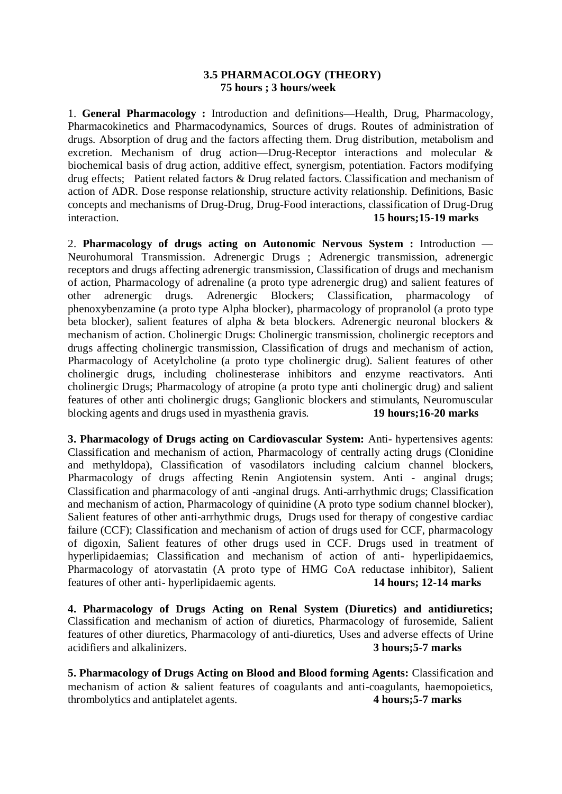# **3.5 PHARMACOLOGY (THEORY) 75 hours ; 3 hours/week**

1. **General Pharmacology :** Introduction and definitions—Health, Drug, Pharmacology, Pharmacokinetics and Pharmacodynamics, Sources of drugs. Routes of administration of drugs. Absorption of drug and the factors affecting them. Drug distribution, metabolism and excretion. Mechanism of drug action—Drug-Receptor interactions and molecular & biochemical basis of drug action, additive effect, synergism, potentiation. Factors modifying drug effects; Patient related factors & Drug related factors. Classification and mechanism of action of ADR. Dose response relationship, structure activity relationship. Definitions, Basic concepts and mechanisms of Drug-Drug, Drug-Food interactions, classification of Drug-Drug interaction. **15 hours;15-19 marks**

2. **Pharmacology of drugs acting on Autonomic Nervous System :** Introduction — Neurohumoral Transmission. Adrenergic Drugs ; Adrenergic transmission, adrenergic receptors and drugs affecting adrenergic transmission, Classification of drugs and mechanism of action, Pharmacology of adrenaline (a proto type adrenergic drug) and salient features of other adrenergic drugs. Adrenergic Blockers; Classification, pharmacology of phenoxybenzamine (a proto type Alpha blocker), pharmacology of propranolol (a proto type beta blocker), salient features of alpha & beta blockers. Adrenergic neuronal blockers & mechanism of action. Cholinergic Drugs: Cholinergic transmission, cholinergic receptors and drugs affecting cholinergic transmission, Classification of drugs and mechanism of action, Pharmacology of Acetylcholine (a proto type cholinergic drug). Salient features of other cholinergic drugs, including cholinesterase inhibitors and enzyme reactivators. Anti cholinergic Drugs; Pharmacology of atropine (a proto type anti cholinergic drug) and salient features of other anti cholinergic drugs; Ganglionic blockers and stimulants, Neuromuscular blocking agents and drugs used in myasthenia gravis. **19 hours;16-20 marks**

**3. Pharmacology of Drugs acting on Cardiovascular System:** Anti- hypertensives agents: Classification and mechanism of action, Pharmacology of centrally acting drugs (Clonidine and methyldopa), Classification of vasodilators including calcium channel blockers, Pharmacology of drugs affecting Renin Angiotensin system. Anti - anginal drugs; Classification and pharmacology of anti -anginal drugs. Anti-arrhythmic drugs; Classification and mechanism of action, Pharmacology of quinidine (A proto type sodium channel blocker), Salient features of other anti-arrhythmic drugs, Drugs used for therapy of congestive cardiac failure (CCF); Classification and mechanism of action of drugs used for CCF, pharmacology of digoxin, Salient features of other drugs used in CCF. Drugs used in treatment of hyperlipidaemias; Classification and mechanism of action of anti- hyperlipidaemics, Pharmacology of atorvastatin (A proto type of HMG CoA reductase inhibitor), Salient features of other anti- hyperlipidaemic agents. **14 hours; 12-14 marks**

**4. Pharmacology of Drugs Acting on Renal System (Diuretics) and antidiuretics;**  Classification and mechanism of action of diuretics, Pharmacology of furosemide, Salient features of other diuretics, Pharmacology of anti-diuretics, Uses and adverse effects of Urine acidifiers and alkalinizers. **3 hours;5-7 marks**

**5. Pharmacology of Drugs Acting on Blood and Blood forming Agents:** Classification and mechanism of action & salient features of coagulants and anti-coagulants, haemopoietics, thrombolytics and antiplatelet agents. **4 hours;5-7 marks**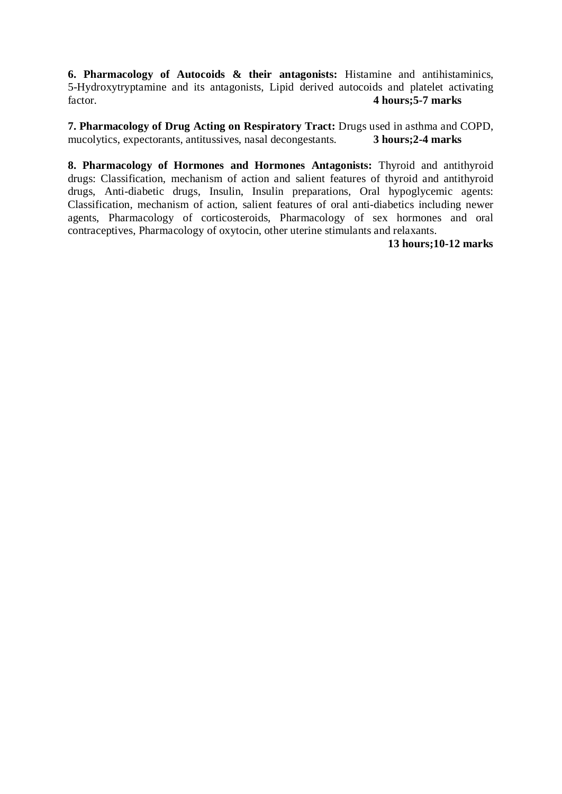**6. Pharmacology of Autocoids & their antagonists:** Histamine and antihistaminics, 5-Hydroxytryptamine and its antagonists, Lipid derived autocoids and platelet activating factor.<br>4 **hours:5-7 marks** factor. **4 hours;5-7 marks**

**7. Pharmacology of Drug Acting on Respiratory Tract:** Drugs used in asthma and COPD, mucolytics, expectorants, antitussives, nasal decongestants. **3 hours: 2-4 marks** mucolytics, expectorants, antitussives, nasal decongestants.

**8. Pharmacology of Hormones and Hormones Antagonists:** Thyroid and antithyroid drugs: Classification, mechanism of action and salient features of thyroid and antithyroid drugs, Anti-diabetic drugs, Insulin, Insulin preparations, Oral hypoglycemic agents: Classification, mechanism of action, salient features of oral anti-diabetics including newer agents, Pharmacology of corticosteroids, Pharmacology of sex hormones and oral contraceptives, Pharmacology of oxytocin, other uterine stimulants and relaxants.

**13 hours;10-12 marks**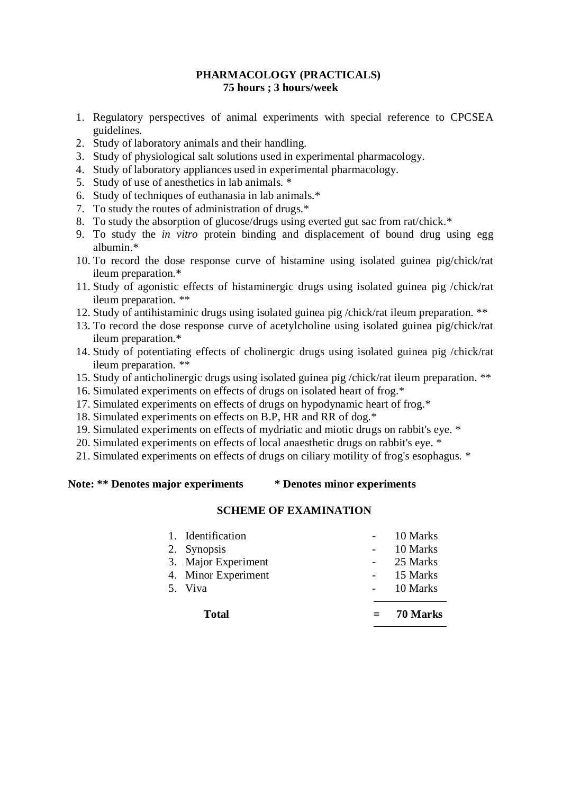# **PHARMACOLOGY (PRACTICALS) 75 hours ; 3 hours/week**

- 1. Regulatory perspectives of animal experiments with special reference to CPCSEA guidelines.
- 2. Study of laboratory animals and their handling.
- 3. Study of physiological salt solutions used in experimental pharmacology.
- 4. Study of laboratory appliances used in experimental pharmacology.
- 5. Study of use of anesthetics in lab animals. \*
- 6. Study of techniques of euthanasia in lab animals.\*
- 7. To study the routes of administration of drugs.\*
- 8. To study the absorption of glucose/drugs using everted gut sac from rat/chick.\*
- 9. To study the *in vitro* protein binding and displacement of bound drug using egg albumin.\*
- 10. To record the dose response curve of histamine using isolated guinea pig/chick/rat ileum preparation.\*
- 11. Study of agonistic effects of histaminergic drugs using isolated guinea pig /chick/rat ileum preparation. \*\*
- 12. Study of antihistaminic drugs using isolated guinea pig /chick/rat ileum preparation. \*\*
- 13. To record the dose response curve of acetylcholine using isolated guinea pig/chick/rat ileum preparation.\*
- 14. Study of potentiating effects of cholinergic drugs using isolated guinea pig /chick/rat ileum preparation. \*\*
- 15. Study of anticholinergic drugs using isolated guinea pig /chick/rat ileum preparation. \*\*
- 16. Simulated experiments on effects of drugs on isolated heart of frog.\*
- 17. Simulated experiments on effects of drugs on hypodynamic heart of frog.\*
- 18. Simulated experiments on effects on B.P, HR and RR of dog.\*
- 19. Simulated experiments on effects of mydriatic and miotic drugs on rabbit's eye. \*
- 20. Simulated experiments on effects of local anaesthetic drugs on rabbit's eye. \*
- 21. Simulated experiments on effects of drugs on ciliary motility of frog's esophagus. \*

# **Note: \*\* Denotes major experiments \* Denotes minor experiments**

# **SCHEME OF EXAMINATION**

| <b>Total</b>        | 70 Marks |
|---------------------|----------|
| 5. Viva             | 10 Marks |
| 4. Minor Experiment | 15 Marks |
| 3. Major Experiment | 25 Marks |
| 2. Synopsis         | 10 Marks |
| 1. Identification   | 10 Marks |